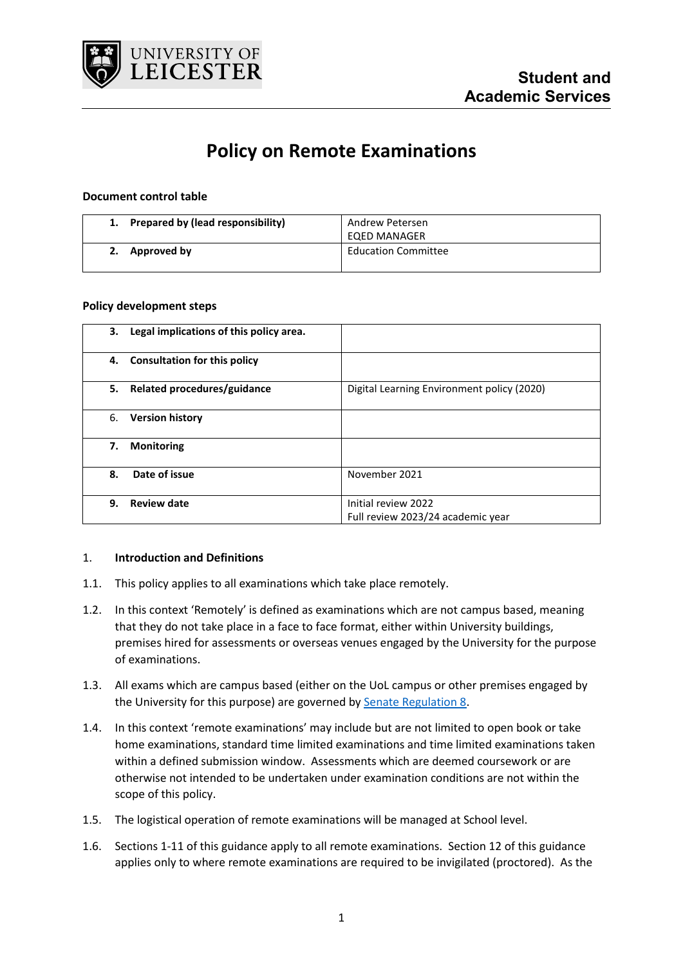

# **Policy on Remote Examinations**

## **Document control table**

| 1. Prepared by (lead responsibility) | Andrew Petersen<br>EQED MANAGER |
|--------------------------------------|---------------------------------|
| Approved by                          | <b>Education Committee</b>      |

#### **Policy development steps**

| 3. | Legal implications of this policy area. |                                                          |
|----|-----------------------------------------|----------------------------------------------------------|
| 4. | <b>Consultation for this policy</b>     |                                                          |
| 5. | Related procedures/guidance             | Digital Learning Environment policy (2020)               |
| 6. | <b>Version history</b>                  |                                                          |
| 7. | <b>Monitoring</b>                       |                                                          |
| 8. | Date of issue                           | November 2021                                            |
| 9. | <b>Review date</b>                      | Initial review 2022<br>Full review 2023/24 academic year |

#### 1. **Introduction and Definitions**

- 1.1. This policy applies to all examinations which take place remotely.
- 1.2. In this context 'Remotely' is defined as examinations which are not campus based, meaning that they do not take place in a face to face format, either within University buildings, premises hired for assessments or overseas venues engaged by the University for the purpose of examinations.
- 1.3. All exams which are campus based (either on the UoL campus or other premises engaged by the University for this purpose) are governed by [Senate Regulation 8.](https://www2.le.ac.uk/offices/sas2/regulations/documents/sr-8-exams-sept-2020)
- 1.4. In this context 'remote examinations' may include but are not limited to open book or take home examinations, standard time limited examinations and time limited examinations taken within a defined submission window. Assessments which are deemed coursework or are otherwise not intended to be undertaken under examination conditions are not within the scope of this policy.
- 1.5. The logistical operation of remote examinations will be managed at School level.
- 1.6. Sections 1-11 of this guidance apply to all remote examinations. Section 12 of this guidance applies only to where remote examinations are required to be invigilated (proctored). As the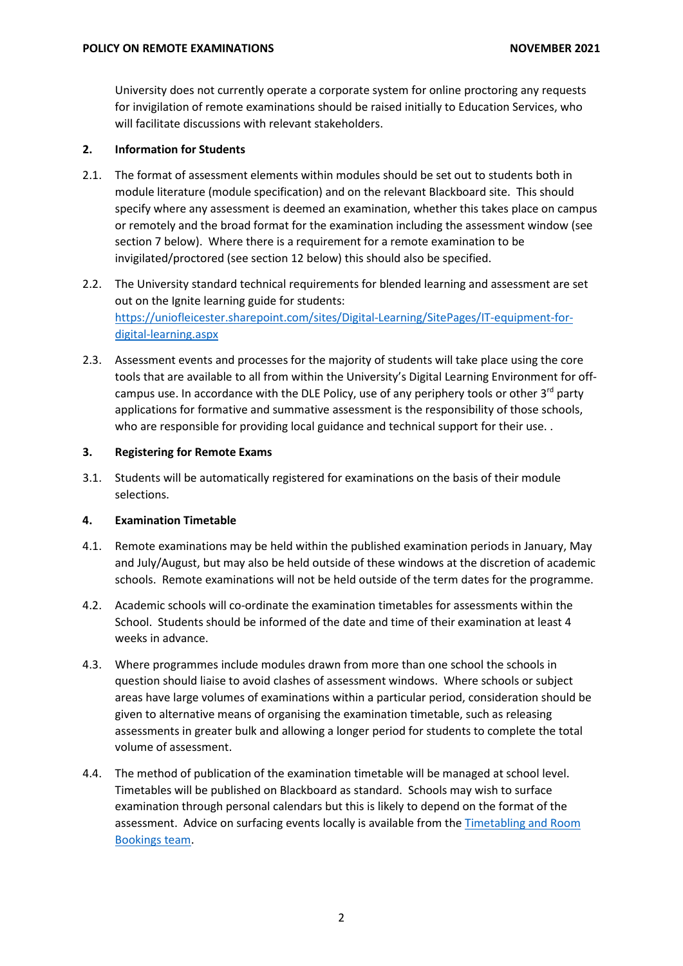University does not currently operate a corporate system for online proctoring any requests for invigilation of remote examinations should be raised initially to Education Services, who will facilitate discussions with relevant stakeholders.

# **2. Information for Students**

- 2.1. The format of assessment elements within modules should be set out to students both in module literature (module specification) and on the relevant Blackboard site. This should specify where any assessment is deemed an examination, whether this takes place on campus or remotely and the broad format for the examination including the assessment window (see section 7 below). Where there is a requirement for a remote examination to be invigilated/proctored (see section 12 below) this should also be specified.
- 2.2. The University standard technical requirements for blended learning and assessment are set out on the Ignite learning guide for students: [https://uniofleicester.sharepoint.com/sites/Digital-Learning/SitePages/IT-equipment-for](https://uniofleicester.sharepoint.com/sites/Digital-Learning/SitePages/IT-equipment-for-digital-learning.aspx)[digital-learning.aspx](https://uniofleicester.sharepoint.com/sites/Digital-Learning/SitePages/IT-equipment-for-digital-learning.aspx)
- 2.3. Assessment events and processes for the majority of students will take place using the core tools that are available to all from within the University's Digital Learning Environment for offcampus use. In accordance with the DLE Policy, use of any periphery tools or other  $3<sup>rd</sup>$  party applications for formative and summative assessment is the responsibility of those schools, who are responsible for providing local guidance and technical support for their use..

# **3. Registering for Remote Exams**

3.1. Students will be automatically registered for examinations on the basis of their module selections.

# **4. Examination Timetable**

- 4.1. Remote examinations may be held within the published examination periods in January, May and July/August, but may also be held outside of these windows at the discretion of academic schools. Remote examinations will not be held outside of the term dates for the programme.
- 4.2. Academic schools will co-ordinate the examination timetables for assessments within the School. Students should be informed of the date and time of their examination at least 4 weeks in advance.
- 4.3. Where programmes include modules drawn from more than one school the schools in question should liaise to avoid clashes of assessment windows. Where schools or subject areas have large volumes of examinations within a particular period, consideration should be given to alternative means of organising the examination timetable, such as releasing assessments in greater bulk and allowing a longer period for students to complete the total volume of assessment.
- 4.4. The method of publication of the examination timetable will be managed at school level. Timetables will be published on Blackboard as standard. Schools may wish to surface examination through personal calendars but this is likely to depend on the format of the assessment. Advice on surfacing events locally is available from the [Timetabling and Room](mailto:timetabling@le.ac.uk?subject=Surfacing%20Examinations%20in%20calendars)  [Bookings team.](mailto:timetabling@le.ac.uk?subject=Surfacing%20Examinations%20in%20calendars)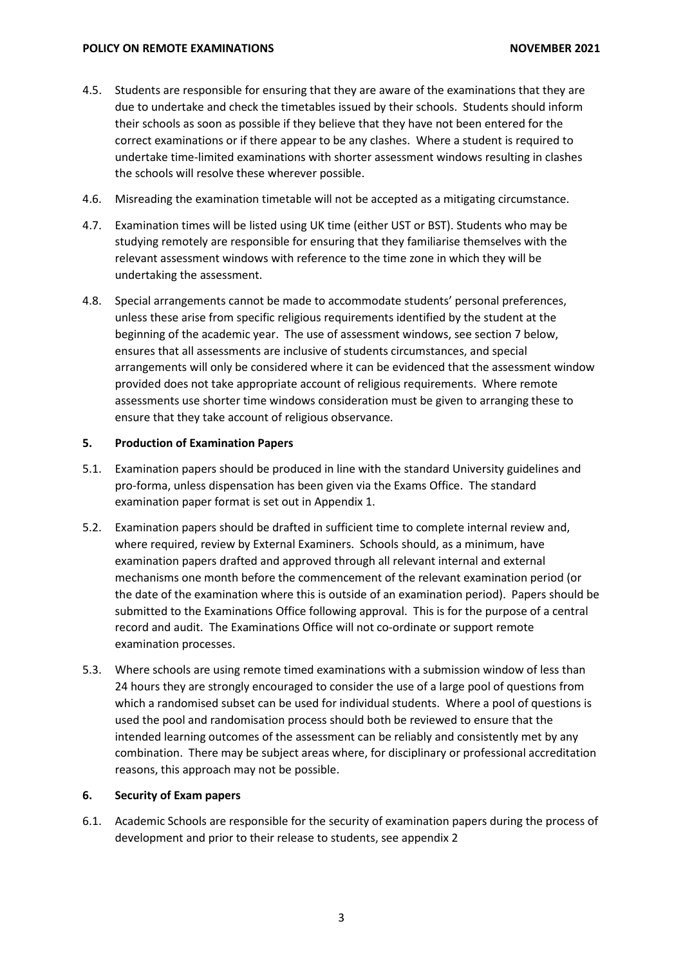- 4.5. Students are responsible for ensuring that they are aware of the examinations that they are due to undertake and check the timetables issued by their schools. Students should inform their schools as soon as possible if they believe that they have not been entered for the correct examinations or if there appear to be any clashes. Where a student is required to undertake time-limited examinations with shorter assessment windows resulting in clashes the schools will resolve these wherever possible.
- 4.6. Misreading the examination timetable will not be accepted as a mitigating circumstance.
- 4.7. Examination times will be listed using UK time (either UST or BST). Students who may be studying remotely are responsible for ensuring that they familiarise themselves with the relevant assessment windows with reference to the time zone in which they will be undertaking the assessment.
- 4.8. Special arrangements cannot be made to accommodate students' personal preferences, unless these arise from specific religious requirements identified by the student at the beginning of the academic year. The use of assessment windows, see section 7 below, ensures that all assessments are inclusive of students circumstances, and special arrangements will only be considered where it can be evidenced that the assessment window provided does not take appropriate account of religious requirements. Where remote assessments use shorter time windows consideration must be given to arranging these to ensure that they take account of religious observance.

# **5. Production of Examination Papers**

- 5.1. Examination papers should be produced in line with the standard University guidelines and pro-forma, unless dispensation has been given via the Exams Office. The standard examination paper format is set out in Appendix 1.
- 5.2. Examination papers should be drafted in sufficient time to complete internal review and, where required, review by External Examiners. Schools should, as a minimum, have examination papers drafted and approved through all relevant internal and external mechanisms one month before the commencement of the relevant examination period (or the date of the examination where this is outside of an examination period). Papers should be submitted to the Examinations Office following approval. This is for the purpose of a central record and audit. The Examinations Office will not co-ordinate or support remote examination processes.
- 5.3. Where schools are using remote timed examinations with a submission window of less than 24 hours they are strongly encouraged to consider the use of a large pool of questions from which a randomised subset can be used for individual students. Where a pool of questions is used the pool and randomisation process should both be reviewed to ensure that the intended learning outcomes of the assessment can be reliably and consistently met by any combination. There may be subject areas where, for disciplinary or professional accreditation reasons, this approach may not be possible.

# **6. Security of Exam papers**

6.1. Academic Schools are responsible for the security of examination papers during the process of development and prior to their release to students, see appendix 2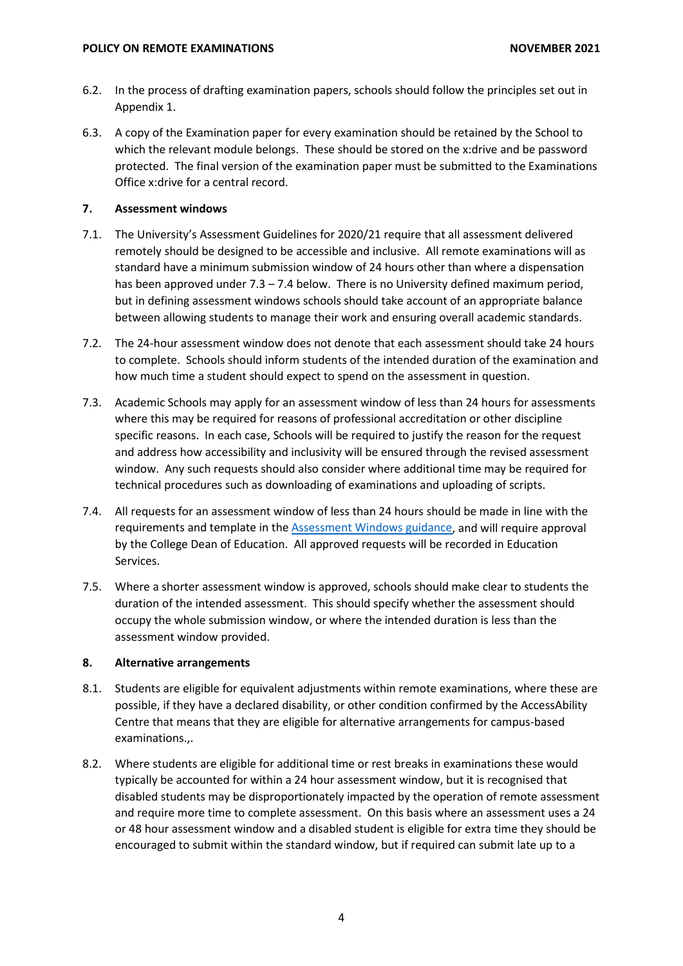- 6.2. In the process of drafting examination papers, schools should follow the principles set out in Appendix 1.
- 6.3. A copy of the Examination paper for every examination should be retained by the School to which the relevant module belongs. These should be stored on the x:drive and be password protected. The final version of the examination paper must be submitted to the Examinations Office x:drive for a central record.

# **7. Assessment windows**

- 7.1. The University's Assessment Guidelines for 2020/21 require that all assessment delivered remotely should be designed to be accessible and inclusive. All remote examinations will as standard have a minimum submission window of 24 hours other than where a dispensation has been approved under 7.3 – 7.4 below. There is no University defined maximum period, but in defining assessment windows schools should take account of an appropriate balance between allowing students to manage their work and ensuring overall academic standards.
- 7.2. The 24-hour assessment window does not denote that each assessment should take 24 hours to complete. Schools should inform students of the intended duration of the examination and how much time a student should expect to spend on the assessment in question.
- 7.3. Academic Schools may apply for an assessment window of less than 24 hours for assessments where this may be required for reasons of professional accreditation or other discipline specific reasons. In each case, Schools will be required to justify the reason for the request and address how accessibility and inclusivity will be ensured through the revised assessment window. Any such requests should also consider where additional time may be required for technical procedures such as downloading of examinations and uploading of scripts.
- 7.4. All requests for an assessment window of less than 24 hours should be made in line with the requirements and template in the [Assessment Windows guidance,](https://uniofleicester.sharepoint.com/sites/staff/corporate-services/student-academic-services/SitePages/COVID-19-(Coronavirus)-Academic-Administration.aspx?csf=1&e=iLnbtn&cid=5c05c2f8-c769-4e5c-98e9-3af712dc3def) and will require approval by the College Dean of Education. All approved requests will be recorded in Education Services.
- 7.5. Where a shorter assessment window is approved, schools should make clear to students the duration of the intended assessment. This should specify whether the assessment should occupy the whole submission window, or where the intended duration is less than the assessment window provided.

# **8. Alternative arrangements**

- 8.1. Students are eligible for equivalent adjustments within remote examinations, where these are possible, if they have a declared disability, or other condition confirmed by the AccessAbility Centre that means that they are eligible for alternative arrangements for campus-based examinations.,.
- 8.2. Where students are eligible for additional time or rest breaks in examinations these would typically be accounted for within a 24 hour assessment window, but it is recognised that disabled students may be disproportionately impacted by the operation of remote assessment and require more time to complete assessment. On this basis where an assessment uses a 24 or 48 hour assessment window and a disabled student is eligible for extra time they should be encouraged to submit within the standard window, but if required can submit late up to a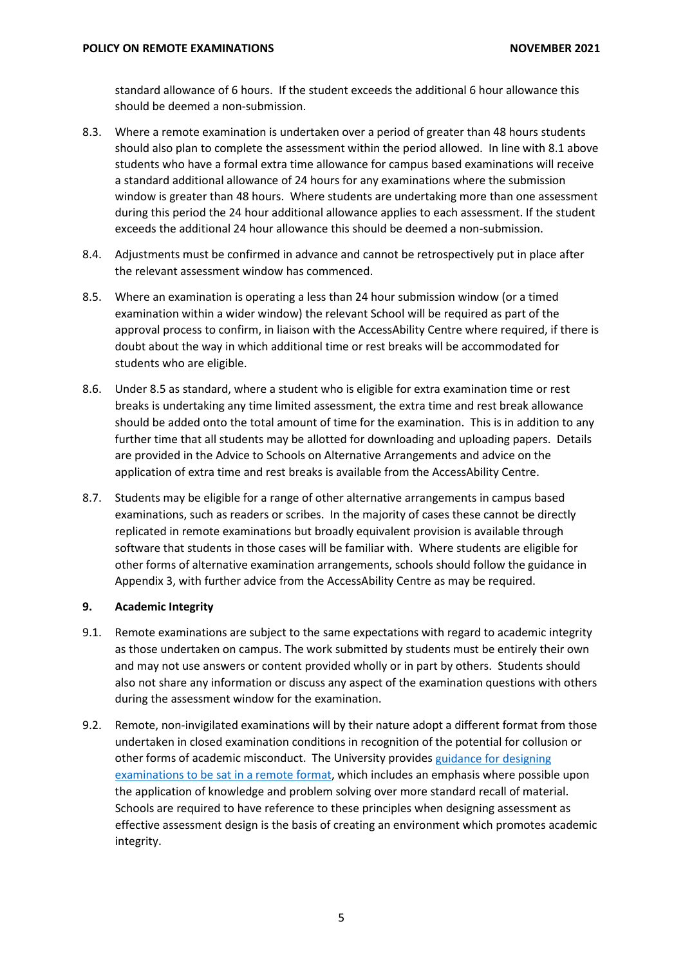standard allowance of 6 hours. If the student exceeds the additional 6 hour allowance this should be deemed a non-submission.

- 8.3. Where a remote examination is undertaken over a period of greater than 48 hours students should also plan to complete the assessment within the period allowed. In line with 8.1 above students who have a formal extra time allowance for campus based examinations will receive a standard additional allowance of 24 hours for any examinations where the submission window is greater than 48 hours. Where students are undertaking more than one assessment during this period the 24 hour additional allowance applies to each assessment. If the student exceeds the additional 24 hour allowance this should be deemed a non-submission.
- 8.4. Adjustments must be confirmed in advance and cannot be retrospectively put in place after the relevant assessment window has commenced.
- 8.5. Where an examination is operating a less than 24 hour submission window (or a timed examination within a wider window) the relevant School will be required as part of the approval process to confirm, in liaison with the AccessAbility Centre where required, if there is doubt about the way in which additional time or rest breaks will be accommodated for students who are eligible.
- 8.6. Under 8.5 as standard, where a student who is eligible for extra examination time or rest breaks is undertaking any time limited assessment, the extra time and rest break allowance should be added onto the total amount of time for the examination. This is in addition to any further time that all students may be allotted for downloading and uploading papers. Details are provided in the Advice to Schools on Alternative Arrangements and advice on the application of extra time and rest breaks is available from the AccessAbility Centre.
- 8.7. Students may be eligible for a range of other alternative arrangements in campus based examinations, such as readers or scribes. In the majority of cases these cannot be directly replicated in remote examinations but broadly equivalent provision is available through software that students in those cases will be familiar with. Where students are eligible for other forms of alternative examination arrangements, schools should follow the guidance in Appendix 3, with further advice from the AccessAbility Centre as may be required.

# **9. Academic Integrity**

- 9.1. Remote examinations are subject to the same expectations with regard to academic integrity as those undertaken on campus. The work submitted by students must be entirely their own and may not use answers or content provided wholly or in part by others. Students should also not share any information or discuss any aspect of the examination questions with others during the assessment window for the examination.
- 9.2. Remote, non-invigilated examinations will by their nature adopt a different format from those undertaken in closed examination conditions in recognition of the potential for collusion or other forms of academic misconduct. The University provide[s guidance for designing](https://uniofleicester.sharepoint.com/:w:/r/sites/staff/learning-teaching-assessment/_layouts/15/Doc.aspx?sourcedoc=%7B2C7ECC1B-B5EC-4E69-837E-8C9EA83DE22D%7D&file=Online%20assessment%20guide%20for%20staff.docx&action=default&mobileredirect=true&cid=bc5d0153-3a9d-4f88-a36e-ef9feae7e0b6)  [examinations to be sat in a remote format,](https://uniofleicester.sharepoint.com/:w:/r/sites/staff/learning-teaching-assessment/_layouts/15/Doc.aspx?sourcedoc=%7B2C7ECC1B-B5EC-4E69-837E-8C9EA83DE22D%7D&file=Online%20assessment%20guide%20for%20staff.docx&action=default&mobileredirect=true&cid=bc5d0153-3a9d-4f88-a36e-ef9feae7e0b6) which includes an emphasis where possible upon the application of knowledge and problem solving over more standard recall of material. Schools are required to have reference to these principles when designing assessment as effective assessment design is the basis of creating an environment which promotes academic integrity.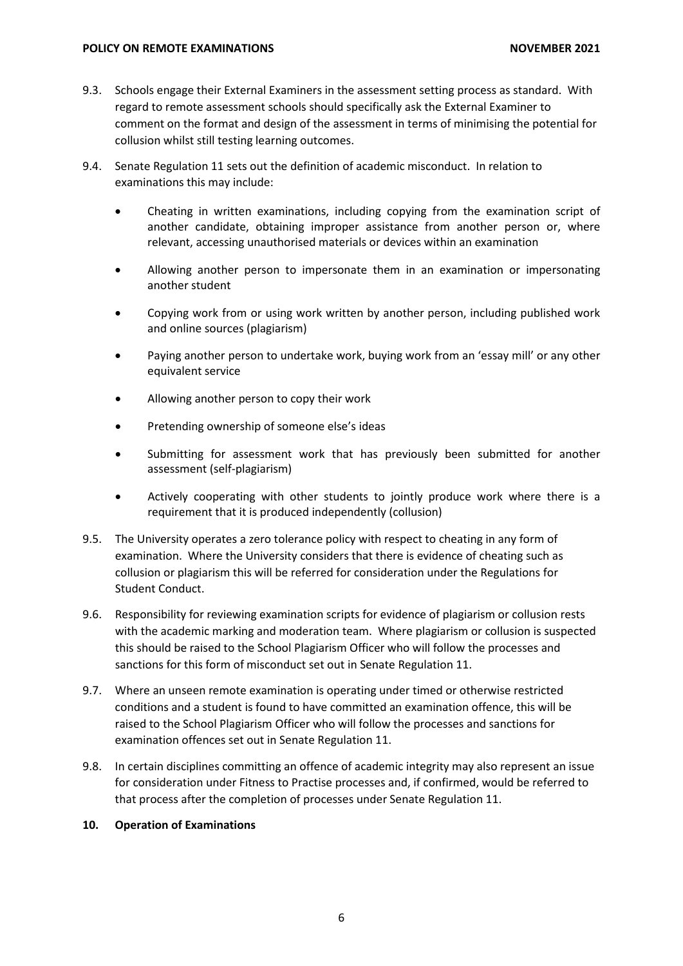#### **POLICY ON REMOTE EXAMINATIONS NOVEMBER 2021**

- 9.3. Schools engage their External Examiners in the assessment setting process as standard. With regard to remote assessment schools should specifically ask the External Examiner to comment on the format and design of the assessment in terms of minimising the potential for collusion whilst still testing learning outcomes.
- 9.4. Senate Regulation 11 sets out the definition of academic misconduct. In relation to examinations this may include:
	- Cheating in written examinations, including copying from the examination script of another candidate, obtaining improper assistance from another person or, where relevant, accessing unauthorised materials or devices within an examination
	- Allowing another person to impersonate them in an examination or impersonating another student
	- Copying work from or using work written by another person, including published work and online sources (plagiarism)
	- Paying another person to undertake work, buying work from an 'essay mill' or any other equivalent service
	- Allowing another person to copy their work
	- Pretending ownership of someone else's ideas
	- Submitting for assessment work that has previously been submitted for another assessment (self-plagiarism)
	- Actively cooperating with other students to jointly produce work where there is a requirement that it is produced independently (collusion)
- 9.5. The University operates a zero tolerance policy with respect to cheating in any form of examination. Where the University considers that there is evidence of cheating such as collusion or plagiarism this will be referred for consideration under the Regulations for Student Conduct.
- 9.6. Responsibility for reviewing examination scripts for evidence of plagiarism or collusion rests with the academic marking and moderation team. Where plagiarism or collusion is suspected this should be raised to the School Plagiarism Officer who will follow the processes and sanctions for this form of misconduct set out in Senate Regulation 11.
- 9.7. Where an unseen remote examination is operating under timed or otherwise restricted conditions and a student is found to have committed an examination offence, this will be raised to the School Plagiarism Officer who will follow the processes and sanctions for examination offences set out in Senate Regulation 11.
- 9.8. In certain disciplines committing an offence of academic integrity may also represent an issue for consideration under Fitness to Practise processes and, if confirmed, would be referred to that process after the completion of processes under Senate Regulation 11.

#### **10. Operation of Examinations**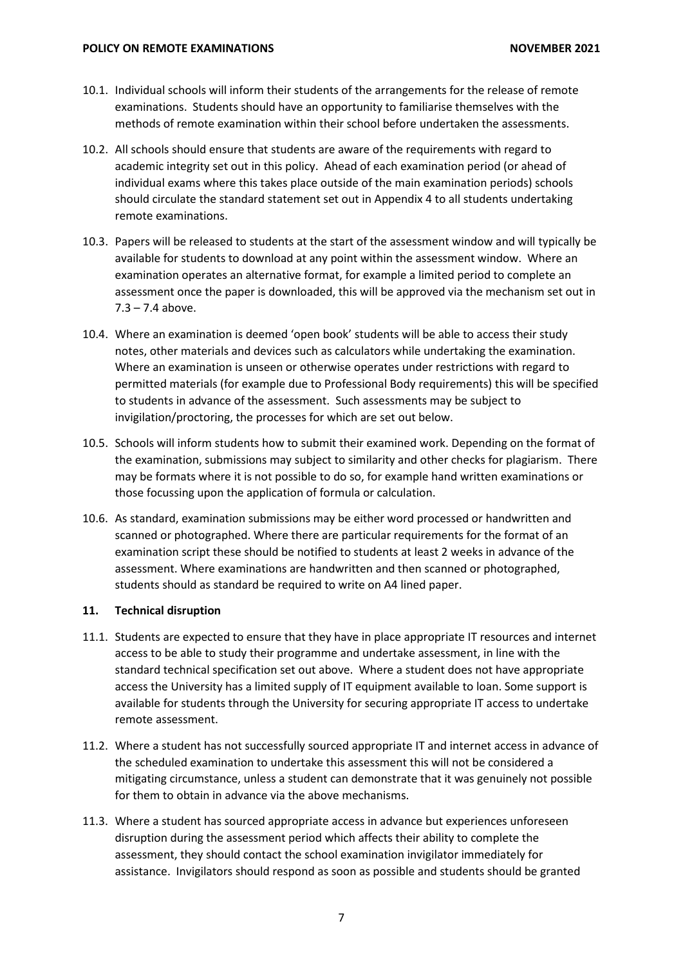- 10.1. Individual schools will inform their students of the arrangements for the release of remote examinations. Students should have an opportunity to familiarise themselves with the methods of remote examination within their school before undertaken the assessments.
- 10.2. All schools should ensure that students are aware of the requirements with regard to academic integrity set out in this policy. Ahead of each examination period (or ahead of individual exams where this takes place outside of the main examination periods) schools should circulate the standard statement set out in Appendix 4 to all students undertaking remote examinations.
- 10.3. Papers will be released to students at the start of the assessment window and will typically be available for students to download at any point within the assessment window. Where an examination operates an alternative format, for example a limited period to complete an assessment once the paper is downloaded, this will be approved via the mechanism set out in  $7.3 - 7.4$  above.
- 10.4. Where an examination is deemed 'open book' students will be able to access their study notes, other materials and devices such as calculators while undertaking the examination. Where an examination is unseen or otherwise operates under restrictions with regard to permitted materials (for example due to Professional Body requirements) this will be specified to students in advance of the assessment. Such assessments may be subject to invigilation/proctoring, the processes for which are set out below.
- 10.5. Schools will inform students how to submit their examined work. Depending on the format of the examination, submissions may subject to similarity and other checks for plagiarism. There may be formats where it is not possible to do so, for example hand written examinations or those focussing upon the application of formula or calculation.
- 10.6. As standard, examination submissions may be either word processed or handwritten and scanned or photographed. Where there are particular requirements for the format of an examination script these should be notified to students at least 2 weeks in advance of the assessment. Where examinations are handwritten and then scanned or photographed, students should as standard be required to write on A4 lined paper.

#### **11. Technical disruption**

- 11.1. Students are expected to ensure that they have in place appropriate IT resources and internet access to be able to study their programme and undertake assessment, in line with the standard technical specification set out above. Where a student does not have appropriate access the University has a limited supply of IT equipment available to loan. Some support is available for students through the University for securing appropriate IT access to undertake remote assessment.
- 11.2. Where a student has not successfully sourced appropriate IT and internet access in advance of the scheduled examination to undertake this assessment this will not be considered a mitigating circumstance, unless a student can demonstrate that it was genuinely not possible for them to obtain in advance via the above mechanisms.
- 11.3. Where a student has sourced appropriate access in advance but experiences unforeseen disruption during the assessment period which affects their ability to complete the assessment, they should contact the school examination invigilator immediately for assistance. Invigilators should respond as soon as possible and students should be granted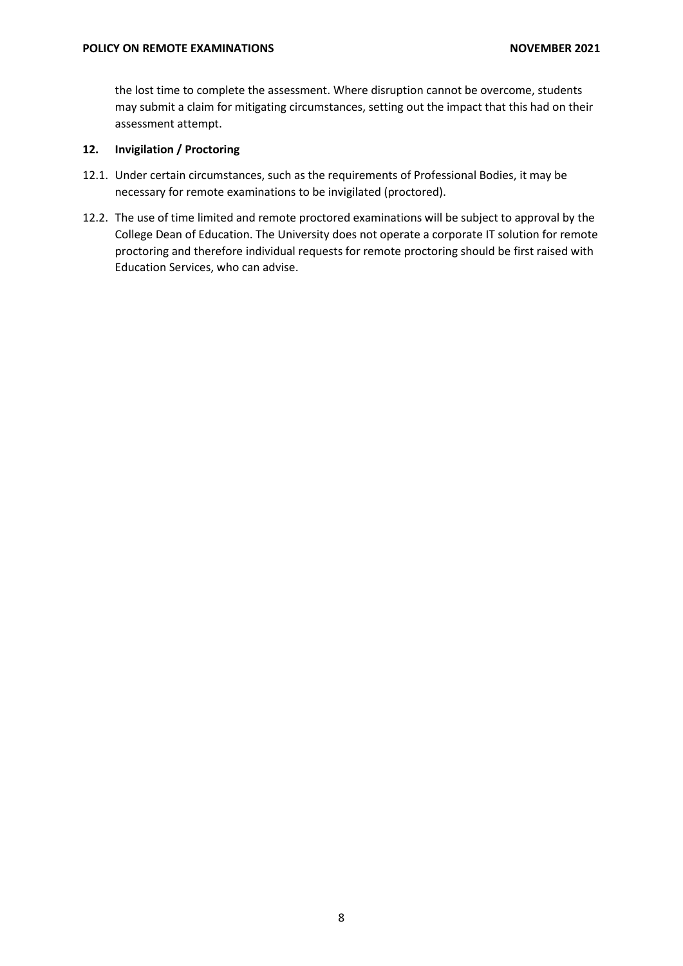the lost time to complete the assessment. Where disruption cannot be overcome, students may submit a claim for mitigating circumstances, setting out the impact that this had on their assessment attempt.

# **12. Invigilation / Proctoring**

- 12.1. Under certain circumstances, such as the requirements of Professional Bodies, it may be necessary for remote examinations to be invigilated (proctored).
- 12.2. The use of time limited and remote proctored examinations will be subject to approval by the College Dean of Education. The University does not operate a corporate IT solution for remote proctoring and therefore individual requests for remote proctoring should be first raised with Education Services, who can advise.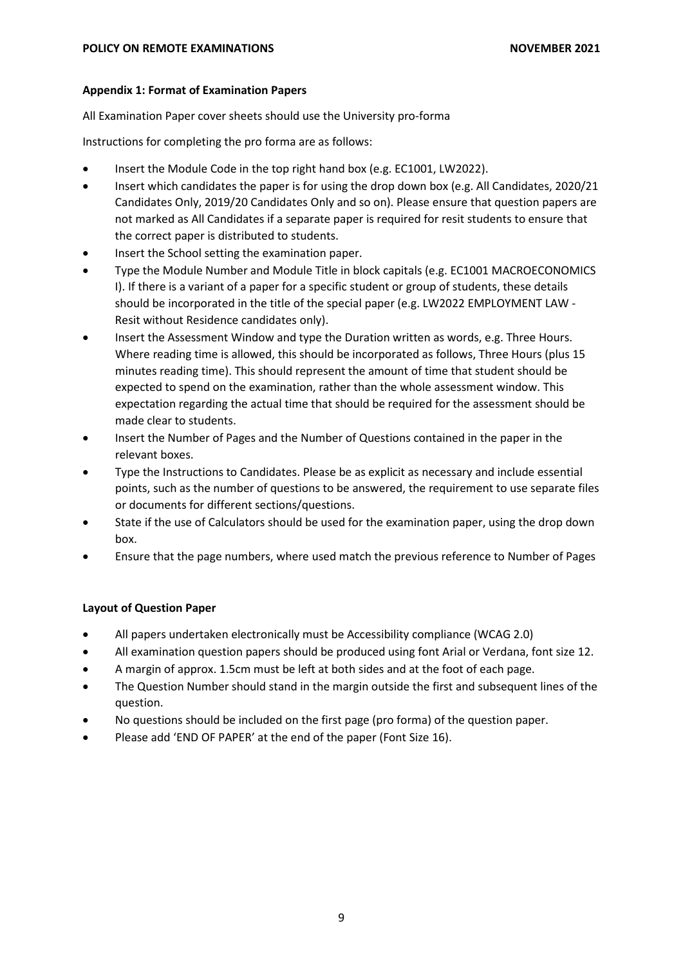## **Appendix 1: Format of Examination Papers**

All Examination Paper cover sheets should use the University pro-forma

Instructions for completing the pro forma are as follows:

- Insert the Module Code in the top right hand box (e.g. EC1001, LW2022).
- Insert which candidates the paper is for using the drop down box (e.g. All Candidates, 2020/21 Candidates Only, 2019/20 Candidates Only and so on). Please ensure that question papers are not marked as All Candidates if a separate paper is required for resit students to ensure that the correct paper is distributed to students.
- Insert the School setting the examination paper.
- Type the Module Number and Module Title in block capitals (e.g. EC1001 MACROECONOMICS I). If there is a variant of a paper for a specific student or group of students, these details should be incorporated in the title of the special paper (e.g. LW2022 EMPLOYMENT LAW - Resit without Residence candidates only).
- Insert the Assessment Window and type the Duration written as words, e.g. Three Hours. Where reading time is allowed, this should be incorporated as follows, Three Hours (plus 15 minutes reading time). This should represent the amount of time that student should be expected to spend on the examination, rather than the whole assessment window. This expectation regarding the actual time that should be required for the assessment should be made clear to students.
- Insert the Number of Pages and the Number of Questions contained in the paper in the relevant boxes.
- Type the Instructions to Candidates. Please be as explicit as necessary and include essential points, such as the number of questions to be answered, the requirement to use separate files or documents for different sections/questions.
- State if the use of Calculators should be used for the examination paper, using the drop down box.
- Ensure that the page numbers, where used match the previous reference to Number of Pages

# **Layout of Question Paper**

- All papers undertaken electronically must be Accessibility compliance (WCAG 2.0)
- All examination question papers should be produced using font Arial or Verdana, font size 12.
- A margin of approx. 1.5cm must be left at both sides and at the foot of each page.
- The Question Number should stand in the margin outside the first and subsequent lines of the question.
- No questions should be included on the first page (pro forma) of the question paper.
- Please add 'END OF PAPER' at the end of the paper (Font Size 16).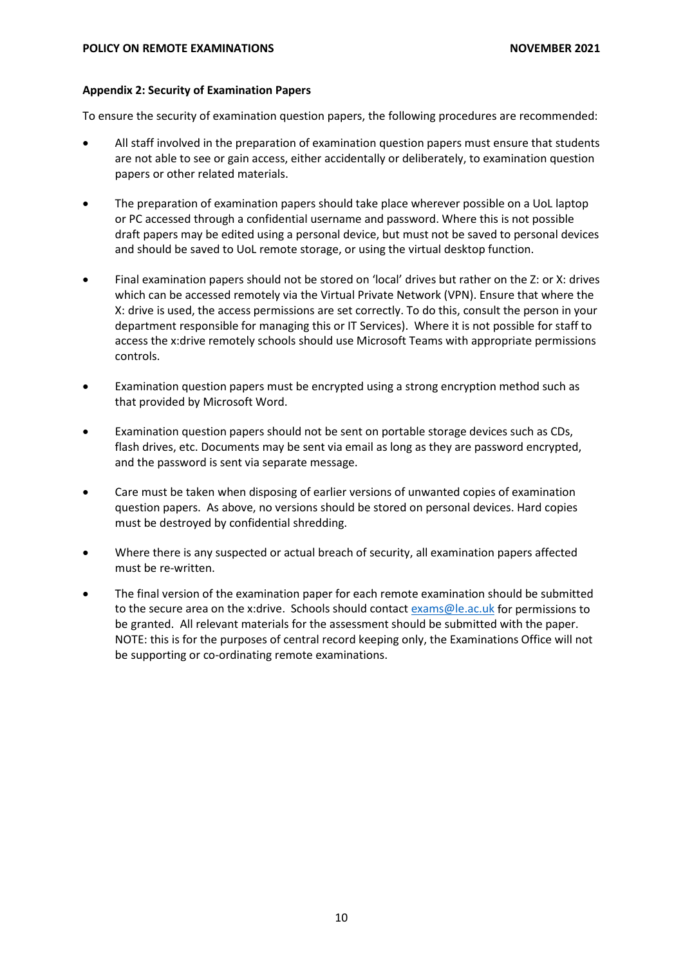## **Appendix 2: Security of Examination Papers**

To ensure the security of examination question papers, the following procedures are recommended:

- All staff involved in the preparation of examination question papers must ensure that students are not able to see or gain access, either accidentally or deliberately, to examination question papers or other related materials.
- The preparation of examination papers should take place wherever possible on a UoL laptop or PC accessed through a confidential username and password. Where this is not possible draft papers may be edited using a personal device, but must not be saved to personal devices and should be saved to UoL remote storage, or using the virtual desktop function.
- Final examination papers should not be stored on 'local' drives but rather on the Z: or X: drives which can be accessed remotely via the Virtual Private Network (VPN). Ensure that where the X: drive is used, the access permissions are set correctly. To do this, consult the person in your department responsible for managing this or IT Services). Where it is not possible for staff to access the x:drive remotely schools should use Microsoft Teams with appropriate permissions controls.
- Examination question papers must be encrypted using a strong encryption method such as that provided by Microsoft Word.
- Examination question papers should not be sent on portable storage devices such as CDs, flash drives, etc. Documents may be sent via email as long as they are password encrypted, and the password is sent via separate message.
- Care must be taken when disposing of earlier versions of unwanted copies of examination question papers. As above, no versions should be stored on personal devices. Hard copies must be destroyed by confidential shredding.
- Where there is any suspected or actual breach of security, all examination papers affected must be re-written.
- The final version of the examination paper for each remote examination should be submitted to the secure area on the x:drive. Schools should contac[t exams@le.ac.uk](mailto:exams@le.ac.uk) for permissions to be granted. All relevant materials for the assessment should be submitted with the paper. NOTE: this is for the purposes of central record keeping only, the Examinations Office will not be supporting or co-ordinating remote examinations.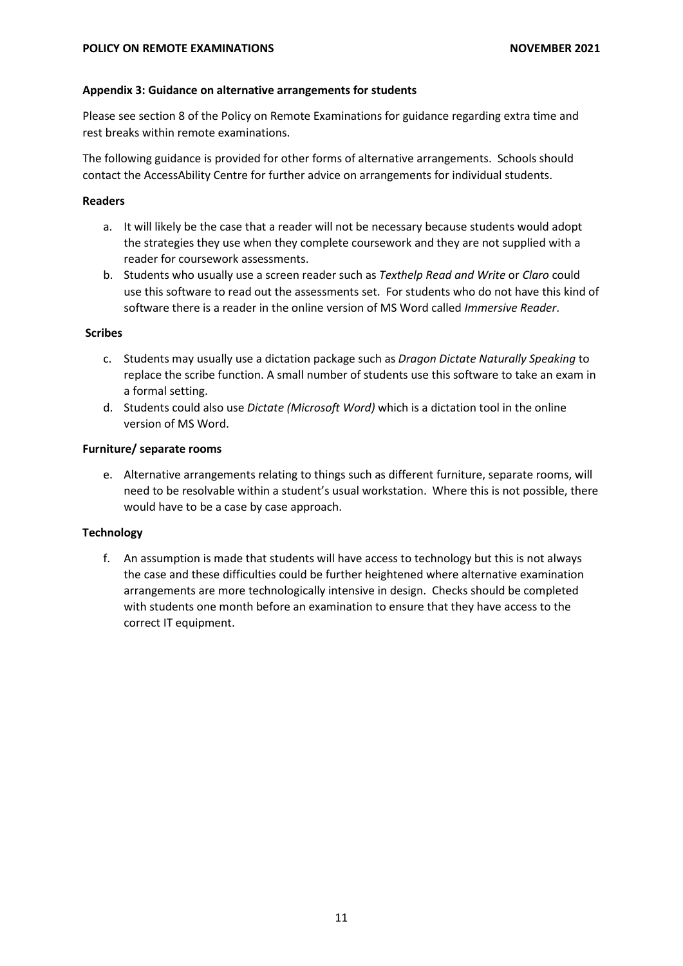#### **Appendix 3: Guidance on alternative arrangements for students**

Please see section 8 of the Policy on Remote Examinations for guidance regarding extra time and rest breaks within remote examinations.

The following guidance is provided for other forms of alternative arrangements. Schools should contact the AccessAbility Centre for further advice on arrangements for individual students.

## **Readers**

- a. It will likely be the case that a reader will not be necessary because students would adopt the strategies they use when they complete coursework and they are not supplied with a reader for coursework assessments.
- b. Students who usually use a screen reader such as *Texthelp Read and Write* or *Claro* could use this software to read out the assessments set. For students who do not have this kind of software there is a reader in the online version of MS Word called *Immersive Reader*.

## **Scribes**

- c. Students may usually use a dictation package such as *Dragon Dictate Naturally Speaking* to replace the scribe function. A small number of students use this software to take an exam in a formal setting.
- d. Students could also use *Dictate (Microsoft Word)* which is a dictation tool in the online version of MS Word.

## **Furniture/ separate rooms**

e. Alternative arrangements relating to things such as different furniture, separate rooms, will need to be resolvable within a student's usual workstation. Where this is not possible, there would have to be a case by case approach.

# **Technology**

f. An assumption is made that students will have access to technology but this is not always the case and these difficulties could be further heightened where alternative examination arrangements are more technologically intensive in design. Checks should be completed with students one month before an examination to ensure that they have access to the correct IT equipment.